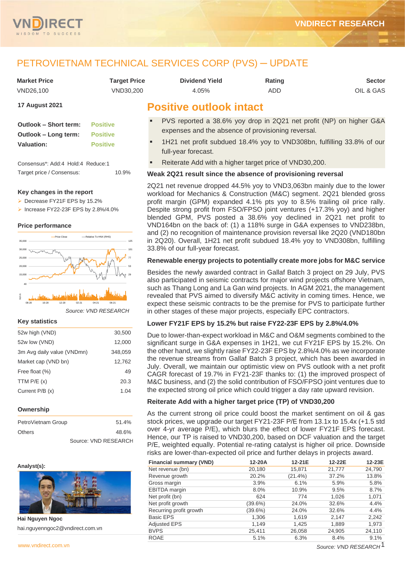

# PETROVIETNAM TECHNICAL SERVICES CORP (PVS) ─ UPDATE

| <b>Market Price</b> | Target Price | <b>Dividend Yield</b> | Rating | Sector    |
|---------------------|--------------|-----------------------|--------|-----------|
| VND26.100           | VND30.200    | 4.05%                 | ADD    | OIL & GAS |

### **17 August 2021**

| <b>Outlook - Short term:</b> | <b>Positive</b> |
|------------------------------|-----------------|
| Outlook – Long term:         | <b>Positive</b> |
| <b>Valuation:</b>            | <b>Positive</b> |
|                              |                 |

Consensus\*: Add:4 Hold:4 Reduce:1 Target price / Consensus: 10.9%

### **Key changes in the report**

- ➢ Decrease FY21F EPS by 15.2%
- ➢ Increase FY22-23F EPS by 2.8%/4.0%

### **Price performance**



*Source: VND RESEARCH*

### **Key statistics**

| 52w high (VND)             | 30,500  |
|----------------------------|---------|
| 52w low (VND)              | 12,000  |
| 3m Avg daily value (VNDmn) | 348,059 |
| Market cap (VND bn)        | 12,762  |
| Free float (%)             | 49      |
| TTM $P/E(x)$               | 20.3    |
| Current P/B (x)            | 1.04    |
|                            |         |

### **Ownership**

| PetroVietnam Group | 51.4%                |
|--------------------|----------------------|
| <b>Others</b>      | 48.6%                |
|                    | Source: VND RESEARCH |

### **Analyst(s):**



**Hai Nguyen Ngoc** hai.nguyenngoc2@vndirect.com.vn

# **Positive outlook intact**

- PVS reported a 38.6% yoy drop in 2Q21 net profit (NP) on higher G&A expenses and the absence of provisioning reversal.
- 1H21 net profit subdued 18.4% yoy to VND308bn, fulfilling 33.8% of our full-year forecast.
- Reiterate Add with a higher target price of VND30,200.

### **Weak 2Q21 result since the absence of provisioning reversal**

2Q21 net revenue dropped 44.5% yoy to VND3,063bn mainly due to the lower workload for Mechanics & Construction (M&C) segment. 2Q21 blended gross profit margin (GPM) expanded 4.1% pts yoy to 8.5% trailing oil price rally. Despite strong profit from FSO/FPSO joint ventures (+17.3% yoy) and higher blended GPM, PVS posted a 38.6% yoy declined in 2Q21 net profit to VND164bn on the back of: (1) a 118% surge in G&A expenses to VND238bn, and (2) no recognition of maintenance provision reversal like 2Q20 (VND180bn in 2Q20). Overall, 1H21 net profit subdued 18.4% yoy to VND308bn, fulfilling 33.8% of our full-year forecast.

### **Renewable energy projects to potentially create more jobs for M&C service**

Besides the newly awarded contract in Gallaf Batch 3 project on 29 July, PVS also participated in seismic contracts for major wind projects offshore Vietnam, such as Thang Long and La Gan wind projects. In AGM 2021, the management revealed that PVS aimed to diversify M&C activity in coming times. Hence, we expect these seismic contracts to be the premise for PVS to participate further in other stages of these major projects, especially EPC contractors.

### **Lower FY21F EPS by 15.2% but raise FY22-23F EPS by 2.8%/4.0%**

Due to lower-than-expect workload in M&C and O&M segments combined to the significant surge in G&A expenses in 1H21, we cut FY21F EPS by 15.2%. On the other hand, we slightly raise FY22-23F EPS by 2.8%/4.0% as we incorporate the revenue streams from Gallaf Batch 3 project, which has been awarded in July. Overall, we maintain our optimistic view on PVS outlook with a net profit CAGR forecast of 19.7% in FY21-23F thanks to: (1) the improved prospect of M&C business, and (2) the solid contribution of FSO/FPSO joint ventures due to the expected strong oil price which could trigger a day rate upward revision.

### **Reiterate Add with a higher target price (TP) of VND30,200**

As the current strong oil price could boost the market sentiment on oil & gas stock prices, we upgrade our target FY21-23F P/E from 13.1x to 15.4x (+1.5 std over 4-yr average P/E), which blurs the effect of lower FY21F EPS forecast. Hence, our TP is raised to VND30,200, based on DCF valuation and the target P/E, weighted equally. Potential re-rating catalyst is higher oil price. Downside risks are lower-than-expected oil price and further delays in projects award.

| <b>Financial summary (VND)</b> | 12-20A     | 12-21E     | 12-22E | 12-23E |
|--------------------------------|------------|------------|--------|--------|
| Net revenue (bn)               | 20,180     | 15,871     | 21,777 | 24,790 |
| Revenue growth                 | 20.2%      | $(21.4\%)$ | 37.2%  | 13.8%  |
| Gross margin                   | $3.9\%$    | 6.1%       | 5.9%   | 5.8%   |
| <b>EBITDA</b> margin           | 8.0%       | 10.9%      | 9.5%   | 8.7%   |
| Net profit (bn)                | 624        | 774        | 1,026  | 1,071  |
| Net profit growth              | $(39.6\%)$ | 24.0%      | 32.6%  | 4.4%   |
| Recurring profit growth        | $(39.6\%)$ | 24.0%      | 32.6%  | 4.4%   |
| <b>Basic EPS</b>               | 1,306      | 1,619      | 2,147  | 2,242  |
| <b>Adjusted EPS</b>            | 1,149      | 1,425      | 1,889  | 1,973  |
| <b>BVPS</b>                    | 25,411     | 26,058     | 24,905 | 24,110 |
| <b>ROAE</b>                    | 5.1%       | 6.3%       | 8.4%   | 9.1%   |

[www.vndirect.com.vn](file:///C:/Users/Andre/Downloads/www.vndirect.com.vn) 1 *Source: VND RESEARCH*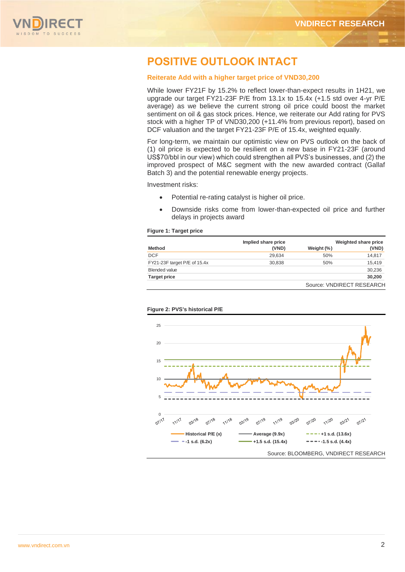

# **POSITIVE OUTLOOK INTACT**

### **Reiterate Add with a higher target price of VND30,200**

While lower FY21F by 15.2% to reflect lower-than-expect results in 1H21, we upgrade our target FY21-23F P/E from 13.1x to 15.4x (+1.5 std over 4-yr P/E average) as we believe the current strong oil price could boost the market sentiment on oil & gas stock prices. Hence, we reiterate our Add rating for PVS stock with a higher TP of VND30,200 (+11.4% from previous report), based on DCF valuation and the target FY21-23F P/E of 15.4x, weighted equally.

For long-term, we maintain our optimistic view on PVS outlook on the back of (1) oil price is expected to be resilient on a new base in FY21-23F (around US\$70/bbl in our view) which could strengthen all PVS's businesses, and (2) the improved prospect of M&C segment with the new awarded contract (Gallaf Batch 3) and the potential renewable energy projects.

Investment risks:

- Potential re-rating catalyst is higher oil price.
- Downside risks come from lower-than-expected oil price and further delays in projects award

### **Figure 1: Target price**

|                              | Implied share price |            | Weighted share price      |
|------------------------------|---------------------|------------|---------------------------|
| <b>Method</b>                | (VND)               | Weight (%) | (VND)                     |
| <b>DCF</b>                   | 29.634              | 50%        | 14,817                    |
| FY21-23F target P/E of 15.4x | 30.838              | 50%        | 15.419                    |
| <b>Blended value</b>         |                     |            | 30,236                    |
| <b>Target price</b>          |                     |            | 30,200                    |
|                              |                     |            | Source: VNDIRECT RESEARCH |



### **Figure 2: PVS's historical P/E**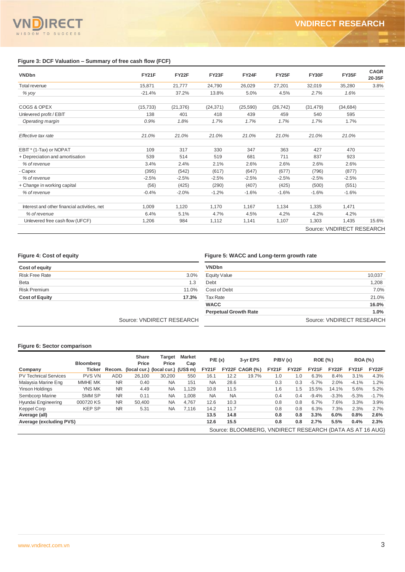### **Figure 3: DCF Valuation – Summary of free cash flow (FCF)**

| <b>VNDbn</b>                                 | <b>FY21F</b> | FY22F     | FY23F     | FY24F    | FY25F     | FY30F     | FY35F                     | <b>CAGR</b><br>20-35F |
|----------------------------------------------|--------------|-----------|-----------|----------|-----------|-----------|---------------------------|-----------------------|
| <b>Total revenue</b>                         | 15,871       | 21,777    | 24,790    | 26,029   | 27,201    | 32,019    | 35,280                    | 3.8%                  |
| % yoy                                        | $-21.4%$     | 37.2%     | 13.8%     | 5.0%     | 4.5%      | 2.7%      | 1.6%                      |                       |
| COGS & OPEX                                  | (15, 733)    | (21, 376) | (24, 371) | (25,590) | (26, 742) | (31, 479) | (34, 684)                 |                       |
| Unlevered profit / EBIT                      | 138          | 401       | 418       | 439      | 459       | 540       | 595                       |                       |
| Operating margin                             | 0.9%         | 1.8%      | 1.7%      | 1.7%     | 1.7%      | 1.7%      | 1.7%                      |                       |
| Effective tax rate                           | 21.0%        | 21.0%     | 21.0%     | 21.0%    | 21.0%     | 21.0%     | 21.0%                     |                       |
| EBIT* (1-Tax) or NOPAT                       | 109          | 317       | 330       | 347      | 363       | 427       | 470                       |                       |
| + Depreciation and amortisation              | 539          | 514       | 519       | 681      | 711       | 837       | 923                       |                       |
| % of revenue                                 | 3.4%         | 2.4%      | 2.1%      | 2.6%     | 2.6%      | 2.6%      | 2.6%                      |                       |
| - Capex                                      | (395)        | (542)     | (617)     | (647)    | (677)     | (796)     | (877)                     |                       |
| % of revenue                                 | $-2.5%$      | $-2.5%$   | $-2.5%$   | $-2.5%$  | $-2.5%$   | $-2.5%$   | $-2.5%$                   |                       |
| + Change in working capital                  | (56)         | (425)     | (290)     | (407)    | (425)     | (500)     | (551)                     |                       |
| % of revenue                                 | $-0.4%$      | $-2.0%$   | $-1.2%$   | $-1.6%$  | $-1.6%$   | $-1.6%$   | $-1.6%$                   |                       |
| Interest and other financial activities, net | 1.009        | 1,120     | 1.170     | 1.167    | 1,134     | 1,335     | 1,471                     |                       |
| % of revenue                                 | 6.4%         | 5.1%      | 4.7%      | 4.5%     | 4.2%      | 4.2%      | 4.2%                      |                       |
| Unlevered free cash flow (UFCF)              | 1,206        | 984       | 1,112     | 1,141    | 1,107     | 1,303     | 1,435                     | 15.6%                 |
|                                              |              |           |           |          |           |           | Source: VNDIRECT RESEARCH |                       |

### **Figure 4: Cost of equity Figure 5: WACC and Long-term growth rate**

| Cost of equity        |       |
|-----------------------|-------|
| <b>Risk Free Rate</b> | 3.0%  |
| <b>Beta</b>           | 1.3   |
| <b>Risk Premium</b>   | 11.0% |
| <b>Cost of Equity</b> | 17.3% |

| <b>VNDbn</b>                 |                           |
|------------------------------|---------------------------|
| <b>Equity Value</b>          | 10,037                    |
| Debt                         | 1,208                     |
| Cost of Debt                 | 7.0%                      |
| <b>Tax Rate</b>              | 21.0%                     |
| <b>WACC</b>                  | 16.0%                     |
| <b>Perpetual Growth Rate</b> | 1.0%                      |
|                              | Source: VNDIRECT RESEARCH |

Source: VNDIRECT RESEARCH

### **Figure 6: Sector comparison**

|                              | <b>Bloomberg</b> |           | Share<br>Price                            | Target<br>Price | Market<br>Cap | P/E(x)       |           | 3-yr EPS                                                 | P/BV(x)      |       | <b>ROE (%)</b> |              | <b>ROA</b> (%) |         |
|------------------------------|------------------|-----------|-------------------------------------------|-----------------|---------------|--------------|-----------|----------------------------------------------------------|--------------|-------|----------------|--------------|----------------|---------|
| Company                      | Ticker           |           | Recom. (local cur.) (local cur.) (US\$ m) |                 |               | <b>FY21F</b> |           | $FY22F CAGR$ $(\% )$                                     | <b>FY21F</b> | FY22F | <b>FY21F</b>   | <b>FY22F</b> | <b>FY21F</b>   | FY22F   |
| <b>PV Technical Services</b> | <b>PVS VN</b>    | ADD       | 26.100                                    | 30.200          | 550           | 16.1         | 12.2      | 19.7%                                                    | 1.0          | 1.0   | 6.3%           | 8.4%         | 3.1%           | 4.3%    |
| Malaysia Marine Eng          | MMHE MK          | <b>NR</b> | 0.40                                      | <b>NA</b>       | 151           | <b>NA</b>    | 28.6      |                                                          | 0.3          | 0.3   | $-5.7%$        | 2.0%         | $-4.1%$        | 1.2%    |
| <b>Yinson Holdings</b>       | YNS MK           | <b>NR</b> | 4.49                                      | <b>NA</b>       | 1.129         | 10.8         | 11.5      |                                                          | 1.6          | 1.5   | 15.5%          | 14.1%        | 5.6%           | 5.2%    |
| Sembcorp Marine              | SMM SP           | <b>NR</b> | 0.11                                      | <b>NA</b>       | 1.008         | <b>NA</b>    | <b>NA</b> |                                                          | 0.4          | 0.4   | $-9.4%$        | $-3.3%$      | $-5.3%$        | $-1.7%$ |
| Hyundai Engineering          | 000720 KS        | <b>NR</b> | 50.400                                    | <b>NA</b>       | 4.767         | 12.6         | 10.3      |                                                          | 0.8          | 0.8   | 6.7%           | 7.6%         | 3.3%           | 3.9%    |
| Keppel Corp                  | <b>KEPSP</b>     | <b>NR</b> | 5.31                                      | <b>NA</b>       | 7.116         | 14.2         | 11.7      |                                                          | 0.8          | 0.8   | 6.3%           | 7.3%         | 2.3%           | 2.7%    |
| Average (all)                |                  |           |                                           |                 |               | 13.5         | 14.8      |                                                          | 0.8          | 0.8   | 3.3%           | 6.0%         | 0.8%           | 2.6%    |
| Average (excluding PVS)      |                  |           |                                           |                 |               | 12.6         | 15.5      |                                                          | 0.8          | 0.8   | 2.7%           | 5.5%         | 0.4%           | 2.3%    |
|                              |                  |           |                                           |                 |               |              |           | Source: BLOOMBERG, VNDIRECT RESEARCH (DATA AS AT 16 AUG) |              |       |                |              |                |         |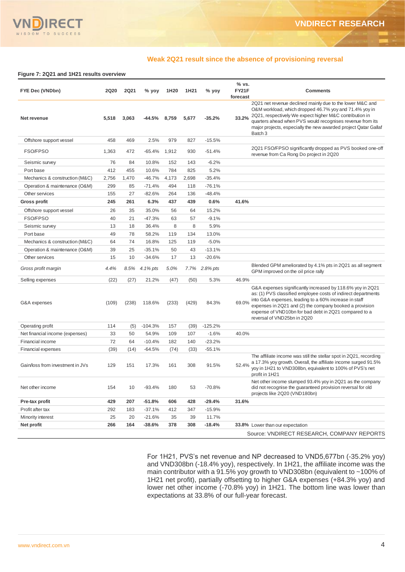

### **Weak 2Q21 result since the absence of provisioning reversal**

### **Figure 7: 2Q21 and 1H21 results overview**

| FYE Dec (VNDbn)                  | <b>2Q20</b> | <b>2Q21</b> | % yoy     | 1H20  | 1H21  | % yoy     | % vs.<br>FY21F<br><b>Comments</b><br>forecast                                                                                                                                                                                                                                                                                                    |
|----------------------------------|-------------|-------------|-----------|-------|-------|-----------|--------------------------------------------------------------------------------------------------------------------------------------------------------------------------------------------------------------------------------------------------------------------------------------------------------------------------------------------------|
| Net revenue                      | 5,518       | 3,063       | -44.5%    | 8,759 | 5,677 | $-35.2%$  | 2Q21 net revenue declined mainly due to the lower M&C and<br>O&M workload, which dropped 46.7% yoy and 71.4% yoy in<br>2Q21, respectively We expect higher M&C contribution in<br>33.2%<br>quarters ahead when PVS would recognises revenue from its<br>major projects, especially the new awarded project Qatar Gallaf<br>Batch 3               |
| Offshore support vessel          | 458         | 469         | 2.5%      | 979   | 827   | $-15.5%$  |                                                                                                                                                                                                                                                                                                                                                  |
| FSO/FPSO                         | 1,363       | 472         | $-65.4%$  | 1,912 | 930   | $-51.4%$  | 2Q21 FSO/FPSO significantly dropped as PVS booked one-off<br>revenue from Ca Rong Do project in 2Q20                                                                                                                                                                                                                                             |
| Seismic survey                   | 76          | 84          | 10.8%     | 152   | 143   | $-6.2%$   |                                                                                                                                                                                                                                                                                                                                                  |
| Port base                        | 412         | 455         | 10.6%     | 784   | 825   | 5.2%      |                                                                                                                                                                                                                                                                                                                                                  |
| Mechanics & construction (M&C)   | 2,756       | 1,470       | $-46.7%$  | 4,173 | 2,698 | $-35.4%$  |                                                                                                                                                                                                                                                                                                                                                  |
| Operation & maintenance (O&M)    | 299         | 85          | $-71.4%$  | 494   | 118   | $-76.1%$  |                                                                                                                                                                                                                                                                                                                                                  |
| Other services                   | 155         | 27          | $-82.6%$  | 264   | 136   | $-48.4%$  |                                                                                                                                                                                                                                                                                                                                                  |
| Gross profit                     | 245         | 261         | 6.3%      | 437   | 439   | 0.6%      | 41.6%                                                                                                                                                                                                                                                                                                                                            |
| Offshore support vessel          | 26          | 35          | 35.0%     | 56    | 64    | 15.2%     |                                                                                                                                                                                                                                                                                                                                                  |
| FSO/FPSO                         | 40          | 21          | $-47.3%$  | 63    | 57    | $-9.1%$   |                                                                                                                                                                                                                                                                                                                                                  |
| Seismic survey                   | 13          | 18          | 36.4%     | 8     | 8     | 5.9%      |                                                                                                                                                                                                                                                                                                                                                  |
| Port base                        | 49          | 78          | 58.2%     | 119   | 134   | 13.0%     |                                                                                                                                                                                                                                                                                                                                                  |
| Mechanics & construction (M&C)   | 64          | 74          | 16.8%     | 125   | 119   | $-5.0%$   |                                                                                                                                                                                                                                                                                                                                                  |
| Operation & maintenance (O&M)    | 39          | 25          | $-35.1%$  | 50    | 43    | $-13.1%$  |                                                                                                                                                                                                                                                                                                                                                  |
| Other services                   | 15          | 10          | $-34.6%$  | 17    | 13    | $-20.6%$  |                                                                                                                                                                                                                                                                                                                                                  |
| Gross profit margin              | 4.4%        | 8.5%        | 4.1% pts  | 5.0%  | 7.7%  | 2.8% pts  | Blended GPM ameliorated by 4.1% pts in 2Q21 as all segment<br>GPM improved on the oil price rally                                                                                                                                                                                                                                                |
| Selling expenses                 | (22)        | (27)        | 21.2%     | (47)  | (50)  | 5.3%      | 46.9%                                                                                                                                                                                                                                                                                                                                            |
| G&A expenses                     | (109)       | (238)       | 118.6%    | (233) | (429) | 84.3%     | G&A expenses significantly increased by 118.6% yoy in 2Q21<br>as: (1) PVS classified employee costs of indirect departments<br>into G&A expenses, leading to a 60% increase in staff<br>69.0%<br>expenses in 2Q21 and (2) the company booked a provision<br>expense of VND10bn for bad debt in 2Q21 compared to a<br>reversal of VND25bn in 2Q20 |
| Operating profit                 | 114         | (5)         | $-104.3%$ | 157   | (39)  | $-125.2%$ |                                                                                                                                                                                                                                                                                                                                                  |
| Net financial income (expenses)  | 33          | 50          | 54.9%     | 109   | 107   | $-1.6%$   | 40.0%                                                                                                                                                                                                                                                                                                                                            |
| Financial income                 | 72          | 64          | $-10.4%$  | 182   | 140   | $-23.2%$  |                                                                                                                                                                                                                                                                                                                                                  |
| <b>Financial expenses</b>        | (39)        | (14)        | $-64.5%$  | (74)  | (33)  | $-55.1%$  |                                                                                                                                                                                                                                                                                                                                                  |
| Gain/loss from investment in JVs | 129         | 151         | 17.3%     | 161   | 308   | 91.5%     | The affiliate income was still the stellar spot in 2Q21, recording<br>a 17.3% yoy growth. Overall, the affiliate income surged 91.5%<br>52.4%<br>yoy in 1H21 to VND308bn, equivalent to 100% of PVS's net<br>profit in 1H21                                                                                                                      |
| Net other income                 | 154         | 10          | $-93.4%$  | 180   | 53    | $-70.8%$  | Net other income slumped 93.4% yoy in 2Q21 as the company<br>did not recognise the guaranteed provision reversal for old<br>projects like 2Q20 (VND180bn)                                                                                                                                                                                        |
| Pre-tax profit                   | 429         | 207         | $-51.8%$  | 606   | 428   | $-29.4%$  | 31.6%                                                                                                                                                                                                                                                                                                                                            |
| Profit after tax                 | 292         | 183         | $-37.1%$  | 412   | 347   | $-15.9%$  |                                                                                                                                                                                                                                                                                                                                                  |
| Minority interest                | 25          | 20          | $-21.6%$  | 35    | 39    | 11.7%     |                                                                                                                                                                                                                                                                                                                                                  |
| Net profit                       | 266         | 164         | $-38.6%$  | 378   | 308   | $-18.4%$  | 33.8% Lower than our expectation                                                                                                                                                                                                                                                                                                                 |
|                                  |             |             |           |       |       |           | Source: VNDIRECT RESEARCH, COMPANY REPORTS                                                                                                                                                                                                                                                                                                       |

For 1H21, PVS's net revenue and NP decreased to VND5,677bn (-35.2% yoy) and VND308bn (-18.4% yoy), respectively. In 1H21, the affiliate income was the main contributor with a 91.5% yoy growth to VND308bn (equivalent to ~100% of 1H21 net profit), partially offsetting to higher G&A expenses (+84.3% yoy) and lower net other income (-70.8% yoy) in 1H21. The bottom line was lower than expectations at 33.8% of our full-year forecast.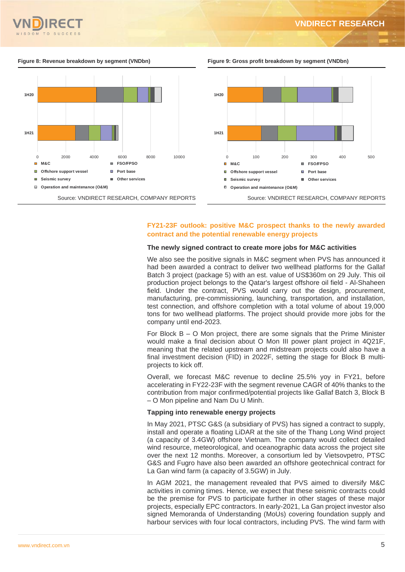

### **VNDIRECT RESEARCH**





### **FY21-23F outlook: positive M&C prospect thanks to the newly awarded contract and the potential renewable energy projects**

### **The newly signed contract to create more jobs for M&C activities**

We also see the positive signals in M&C segment when PVS has announced it had been awarded a contract to deliver two wellhead platforms for the Gallaf Batch 3 project (package 5) with an est. value of US\$360m on 29 July. This oil production project belongs to the Qatar's largest offshore oil field - Al-Shaheen field. Under the contract, PVS would carry out the design, procurement, manufacturing, pre-commissioning, launching, transportation, and installation, test connection, and offshore completion with a total volume of about 19,000 tons for two wellhead platforms. The project should provide more jobs for the company until end-2023.

For Block B – O Mon project, there are some signals that the Prime Minister would make a final decision about O Mon III power plant project in 4Q21F, meaning that the related upstream and midstream projects could also have a final investment decision (FID) in 2022F, setting the stage for Block B multiprojects to kick off.

Overall, we forecast M&C revenue to decline 25.5% yoy in FY21, before accelerating in FY22-23F with the segment revenue CAGR of 40% thanks to the contribution from major confirmed/potential projects like Gallaf Batch 3, Block B – O Mon pipeline and Nam Du U Minh.

### **Tapping into renewable energy projects**

In May 2021, PTSC G&S (a subsidiary of PVS) has signed a contract to supply, install and operate a floating LiDAR at the site of the Thang Long Wind project (a capacity of 3.4GW) offshore Vietnam. The company would collect detailed wind resource, meteorological, and oceanographic data across the project site over the next 12 months. Moreover, a consortium led by Vietsovpetro, PTSC G&S and Fugro have also been awarded an offshore geotechnical contract for La Gan wind farm (a capacity of 3.5GW) in July.

In AGM 2021, the management revealed that PVS aimed to diversify M&C activities in coming times. Hence, we expect that these seismic contracts could be the premise for PVS to participate further in other stages of these major projects, especially EPC contractors. In early-2021, La Gan project investor also signed Memoranda of Understanding (MoUs) covering foundation supply and harbour services with four local contractors, including PVS. The wind farm with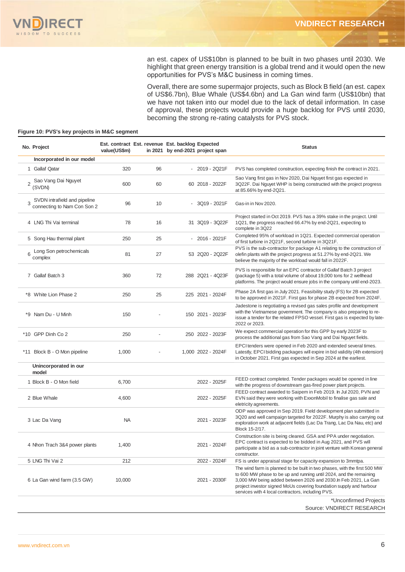

an est. capex of US\$10bn is planned to be built in two phases until 2030. We highlight that green energy transition is a global trend and it would open the new opportunities for PVS's M&C business in coming times.

Overall, there are some supermajor projects, such as Block B field (an est. capex of US\$6.7bn), Blue Whale (US\$4.6bn) and La Gan wind farm (US\$10bn) that we have not taken into our model due to the lack of detail information. In case of approval, these projects would provide a huge backlog for PVS until 2030, becoming the strong re-rating catalysts for PVS stock.

### **Figure 10: PVS's key projects in M&C segment**

| No. Project                                                 | value(US\$m) | Est. contract Est. revenue Est. backlog Expected | in 2021 by end-2021 project span | <b>Status</b>                                                                                                                                                                                                                                                                                                                                  |
|-------------------------------------------------------------|--------------|--------------------------------------------------|----------------------------------|------------------------------------------------------------------------------------------------------------------------------------------------------------------------------------------------------------------------------------------------------------------------------------------------------------------------------------------------|
| Incorporated in our model                                   |              |                                                  |                                  |                                                                                                                                                                                                                                                                                                                                                |
| 1 Gallaf Qatar                                              | 320          | 96                                               | $-2019 - 2021F$                  | PVS has completed construction, expecting finish the contract in 2021.                                                                                                                                                                                                                                                                         |
| Sao Vang Dai Nguyet<br>(SVDN)                               | 600          | 60                                               | 60 2018 - 2022F                  | Sao Vang first gas in Nov 2020, Dai Nguyet first gas expected in<br>3Q22F. Dai Nguyet WHP is being constructed with the project progress<br>at 85.66% by end-2Q21.                                                                                                                                                                             |
| SVDN intrafield and pipeline<br>connecting to Nam Con Son 2 | 96           | 10                                               | 3Q19 - 2021F                     | Gas-in in Nov 2020.                                                                                                                                                                                                                                                                                                                            |
| 4 LNG Thi Vai terminal                                      | 78           | 16                                               | 31 3Q19 - 3Q22F                  | Project started in Oct 2019. PVS has a 39% stake in the project. Until<br>1Q21, the progress reached 66.47% by end-2Q21, expecting to<br>complete in 3Q22                                                                                                                                                                                      |
| 5 Song Hau thermal plant                                    | 250          | 25                                               | 2016 - 2021F                     | Completed 95% of workload in 1Q21. Expected commercial operation<br>of first turbine in 2Q21F, second turbine in 3Q21F.                                                                                                                                                                                                                        |
| Long Son petrochemicals<br>6<br>complex                     | 81           | 27                                               | 53 2Q20 - 2Q22F                  | PVS is the sub-contractor for package A1 relating to the construction of<br>olefin plants with the project progress at 51.27% by end-2Q21. We<br>believe the majority of the workload would fall in 2022F.                                                                                                                                     |
| 7 Gallaf Batch 3                                            | 360          | 72                                               | 288 2Q21 - 4Q23F                 | PVS is responsible for an EPC contractor of Gallaf Batch 3 project<br>(package 5) with a total volume of about 19,000 tons for 2 wellhead<br>platforms. The project would ensure jobs in the company until end-2023.                                                                                                                           |
| *8 White Lion Phase 2                                       | 250          | 25                                               | 225 2021 - 2024F                 | Phase 2A first gas in July 2021. Feasibility study (FS) for 2B expected<br>to be approved in 2021F. First gas for phase 2B expected from 2024F.                                                                                                                                                                                                |
| *9 Nam Du - U Minh                                          | 150          |                                                  | 150 2021 - 2023F                 | Jadestone is negotiating a revised gas sales profile and development<br>with the Vietnamese government. The company is also preparing to re-<br>issue a tender for the related FPSO vessel. First gas is expected by late-<br>2022 or 2023.                                                                                                    |
| *10 GPP Dinh Co 2                                           | 250          |                                                  | 250 2022 - 2023F                 | We expect commercial operation for this GPP by early 2023F to<br>process the additional gas from Sao Vang and Dai Nguyet fields.                                                                                                                                                                                                               |
| *11 Block B - O Mon pipeline                                | 1,000        |                                                  | 1,000 2022 - 2024F               | EPCI tenders were opened in Feb 2020 and extended several times.<br>Latestly, EPCI bidding packages will expire in bid validity (4th extension)<br>in October 2021. First gas expected in Sep 2024 at the earliest.                                                                                                                            |
| Unincorporated in our<br>model                              |              |                                                  |                                  |                                                                                                                                                                                                                                                                                                                                                |
| 1 Block B - O Mon field                                     | 6,700        |                                                  | 2022 - 2025F                     | FEED contract completed. Tender packages would be opened in line<br>with the progress of downstream gas-fired power plant projects.                                                                                                                                                                                                            |
| 2 Blue Whale                                                | 4,600        |                                                  | 2022 - 2025F                     | FEED contract awarded to Saipem in Feb 2019. In Jul 2020, PVN and<br>EVN said they were working with ExxonMobil to finalise gas sale and<br>eletricity agreements.                                                                                                                                                                             |
| 3 Lac Da Vang                                               | <b>NA</b>    |                                                  | 2021 - 2023F                     | ODP was approved in Sep 2019. Field development plan submitted in<br>3Q20 and well campaign targeted for 2022F. Murphy is also carrying out<br>exploration work at adjacent fields (Lac Da Trang, Lac Da Nau, etc) and<br>Block 15-2/17.                                                                                                       |
| 4 Nhon Trach 3&4 power plants                               | 1,400        |                                                  | 2021 - 2024F                     | Construction site is being cleared. GSA and PPA under negotiation.<br>EPC contract is expected to be bidded in Aug 2021, and PVS will<br>participate a bid as a sub-contractor in joint venture with Korean general<br>constructor.                                                                                                            |
| 5 LNG Thi Vai 2                                             | 212          |                                                  | 2022 - 2024F                     | FS is under appraisal stage for capacity expansion to 3mmtpa.                                                                                                                                                                                                                                                                                  |
| 6 La Gan wind farm (3.5 GW)                                 | 10,000       |                                                  | 2021 - 2030F                     | The wind farm is planned to be built in two phases, with the first 500 MW<br>to 600 MW phase to be up and running until 2024, and the remaining<br>3,000 MW being added between 2026 and 2030. In Feb 2021, La Gan<br>project investor signed MoUs covering foundation supply and harbour<br>services with 4 local contractors, including PVS. |
|                                                             |              |                                                  |                                  | *Unconfirmed Projects<br>Source: VNDIRECT RESEARCH                                                                                                                                                                                                                                                                                             |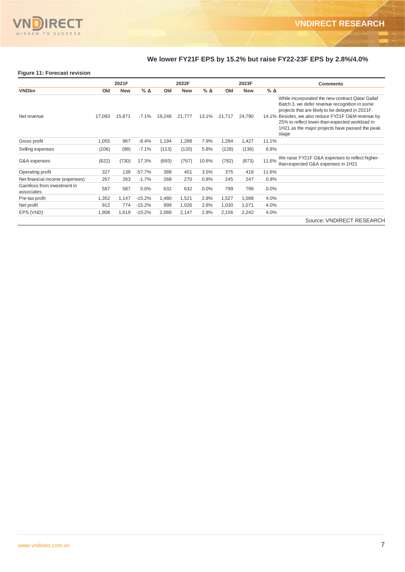

# **We lower FY21F EPS by 15.2% but raise FY22-23F EPS by 2.8%/4.0%**

### **Figure 11: Forecast revision**

|                                            |        | 2021F      |                 |        | 2022F      |                 |        | 2023F      |                 | <b>Comments</b>                                                                                                                                                                                                                                                                                                           |
|--------------------------------------------|--------|------------|-----------------|--------|------------|-----------------|--------|------------|-----------------|---------------------------------------------------------------------------------------------------------------------------------------------------------------------------------------------------------------------------------------------------------------------------------------------------------------------------|
| <b>VNDbn</b>                               | Old    | <b>New</b> | $%$ $\triangle$ | Old    | <b>New</b> | $%$ $\triangle$ | Old    | <b>New</b> | $%$ $\triangle$ |                                                                                                                                                                                                                                                                                                                           |
| Net revenue                                | 17,093 | 15,871     | -7.1%           | 19,248 | 21,777     | 13.1%           | 21,717 | 24,790     |                 | While incorporated the new contract Qatar Gallaf<br>Batch 3, we defer revenue recognition in some<br>projects that are likely to be delayed in 2021F.<br>14.1% Besides, we also reduce FY21F O&M revenue by<br>25% to reflect lower-than-expected workload in<br>1H21 as the major projects have passed the peak<br>stage |
| Gross profit                               | 1,055  | 967        | $-8.4%$         | 1,194  | 1,288      | 7.9%            | 1,284  | 1,427      | 11.1%           |                                                                                                                                                                                                                                                                                                                           |
| Selling expenses                           | (106)  | (98)       | $-7.1%$         | (113)  | (120)      | 5.8%            | (128)  | (136)      | 6.8%            |                                                                                                                                                                                                                                                                                                                           |
| G&A expenses                               | (622)  | (730)      | 17.3%           | (693)  | (767)      | 10.6%           | (782)  | (873)      | 11.6%           | We raise FY21F G&A expenses to reflect higher-<br>than-expected G&A expenses in 1H21                                                                                                                                                                                                                                      |
| Operating profit                           | 327    | 138        | $-57.7%$        | 388    | 401        | 3.5%            | 375    | 418        | 11.6%           |                                                                                                                                                                                                                                                                                                                           |
| Net financial income (expenses)            | 267    | 263        | $-1.7%$         | 268    | 270        | 0.8%            | 245    | 247        | 0.9%            |                                                                                                                                                                                                                                                                                                                           |
| Gain/loss from investment in<br>associates | 587    | 587        | 0.0%            | 632    | 632        | 0.0%            | 799    | 799        | 0.0%            |                                                                                                                                                                                                                                                                                                                           |
| Pre-tax profit                             | 1,352  | 1,147      | $-15.2%$        | 1,480  | 1,521      | 2.8%            | 1,527  | 1,588      | 4.0%            |                                                                                                                                                                                                                                                                                                                           |
| Net profit                                 | 912    | 774        | $-15.2%$        | 999    | 1,026      | 2.8%            | 1,030  | 1,071      | 4.0%            |                                                                                                                                                                                                                                                                                                                           |
| EPS (VND)                                  | 1,908  | 1,619      | $-15.2%$        | 2,089  | 2,147      | 2.8%            | 2,156  | 2,242      | 4.0%            |                                                                                                                                                                                                                                                                                                                           |

Source: VNDIRECT RESEARCH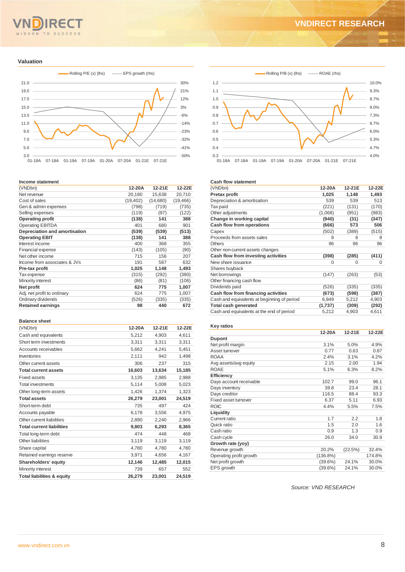# SDOM TO SUCCESS

# **VNDIRECT RESEARCH**

### **Valuation**



### **Income statement**

| (VNDbn)                       | 12-20A    | 12-21E   | 12-22E    |
|-------------------------------|-----------|----------|-----------|
| Net revenue                   | 20,180    | 15,638   | 20,710    |
| Cost of sales                 | (19, 402) | (14,680) | (19, 466) |
| Gen & admin expenses          | (798)     | (719)    | (735)     |
| Selling expenses              | (119)     | (97)     | (122)     |
| <b>Operating profit</b>       | (138)     | 141      | 388       |
| <b>Operating EBITDA</b>       | 401       | 680      | 901       |
| Depreciation and amortisation | (539)     | (539)    | (513)     |
| <b>Operating EBIT</b>         | (138)     | 141      | 388       |
| Interest income               | 400       | 368      | 355       |
| Financial expense             | (143)     | (105)    | (90)      |
| Net other income              | 715       | 156      | 207       |
| Income from associates & JVs  | 191       | 587      | 632       |
| Pre-tax profit                | 1,025     | 1,148    | 1,493     |
| Tax expense                   | (315)     | (292)    | (380)     |
| Minority interest             | (86)      | (81)     | (106)     |
| Net profit                    | 624       | 775      | 1,007     |
| Adj. net profit to ordinary   | 624       | 775      | 1,007     |
| Ordinary dividends            | (526)     | (335)    | (335)     |
| <b>Retained earnings</b>      | 98        | 440      | 672       |

### **Balance sheet**

| (VNDbn)                               | 12-20A | 12-21E | 12-22E |
|---------------------------------------|--------|--------|--------|
| Cash and equivalents                  | 5,212  | 4,903  | 4,611  |
| Short term investments                | 3,311  | 3,311  | 3,311  |
| Accounts receivables                  | 5,662  | 4,241  | 5,451  |
| Inventories                           | 2,111  | 942    | 1,498  |
| Other current assets                  | 306    | 237    | 315    |
| <b>Total current assets</b>           | 16,603 | 13,634 | 15,185 |
| <b>Fixed assets</b>                   | 3,135  | 2.985  | 2.988  |
| Total investments                     | 5,114  | 5,008  | 5,023  |
| Other long-term assets                | 1,426  | 1.374  | 1,323  |
| <b>Total assets</b>                   | 26,279 | 23,001 | 24,519 |
| Short-term debt                       | 735    | 497    | 424    |
| Accounts payable                      | 6,178  | 3,556  | 4,975  |
| Other current liabilities             | 2,890  | 2,240  | 2,966  |
| <b>Total current liabilities</b>      | 9,803  | 6,293  | 8,365  |
| Total long-term debt                  | 474    | 448    | 468    |
| Other liabilities                     | 3,119  | 3,119  | 3,119  |
| Share capital                         | 4,780  | 4.780  | 4,780  |
| Retained earnings reserve             | 3,971  | 4,656  | 4,167  |
| Shareholders' equity                  | 12,146 | 12,485 | 12,015 |
| Minority interest                     | 739    | 657    | 552    |
| <b>Total liabilities &amp; equity</b> | 26,279 | 23,001 | 24,519 |



### **Cash flow statement**

| (VNDbn)                                     | 12-20A   | 12-21E   | 12-22E |
|---------------------------------------------|----------|----------|--------|
| Pretax profit                               | 1,025    | 1,148    | 1,493  |
| Depreciation & amortisation                 | 539      | 539      | 513    |
| Tax paid                                    | (221)    | (131)    | (170)  |
| Other adjustments                           | (1,068)  | (951)    | (983)  |
| Change in working capital                   | (940)    | (31)     | (347)  |
| Cash flow from operations                   | (666)    | 573      | 506    |
| Capex                                       | (502)    | (389)    | (515)  |
| Proceeds from assets sales                  | 8        | 8        | 8      |
| <b>Others</b>                               | 96       | 96       | 96     |
| Other non-current assets changes            |          |          |        |
| Cash flow from investing activities         | (398)    | (285)    | (411)  |
| New share issuance                          | $\Omega$ | $\Omega$ | 0      |
| Shares buyback                              |          |          |        |
| Net borrowings                              | (147)    | (263)    | (53)   |
| Other financing cash flow                   |          |          |        |
| Dividends paid                              | (526)    | (335)    | (335)  |
| Cash flow from financing activities         | (673)    | (598)    | (387)  |
| Cash and equivalents at beginning of period | 6,949    | 5,212    | 4,903  |
| <b>Total cash generated</b>                 | (1,737)  | (309)    | (292)  |
| Cash and equivalents at the end of period   | 5,212    | 4,903    | 4,611  |

### **Key ratios**

|                         | 12-20A      | 12-21E  | 12-22E |
|-------------------------|-------------|---------|--------|
| Dupont                  |             |         |        |
| Net profit margin       | 3.1%        | 5.0%    | 4.9%   |
| Asset turnover          | 0.77        | 0.63    | 0.87   |
| <b>ROAA</b>             | 2.4%        | 3.1%    | 4.2%   |
| Avg assets/avg equity   | 2.15        | 2.00    | 1.94   |
| <b>ROAE</b>             | 5.1%        | 6.3%    | 8.2%   |
| <b>Efficiency</b>       |             |         |        |
| Days account receivable | 102.7       | 99.0    | 96.1   |
| Days inventory          | 39.8        | 23.4    | 28.1   |
| Days creditor           | 116.5       | 88.4    | 93.3   |
| Fixed asset turnover    | 6.37        | 5.11    | 6.93   |
| <b>ROIC</b>             | 4.4%        | 5.5%    | 7.5%   |
| Liquidity               |             |         |        |
| Current ratio           | 1.7         | 2.2     | 1.8    |
| Quick ratio             | 1.5         | 2.0     | 1.6    |
| Cash ratio              | 0.9         | 1.3     | 0.9    |
| Cash cycle              | 26.0        | 34.0    | 30.9   |
| Growth rate (yoy)       |             |         |        |
| Revenue growth          | 20.2%       | (22.5%) | 32.4%  |
| Operating profit growth | $(136.8\%)$ |         | 174.8% |
| Net profit growth       | $(39.6\%)$  | 24.1%   | 30.0%  |
| EPS growth              | $(39.6\%)$  | 24.1%   | 30.0%  |

*Source: VND RESEARCH*